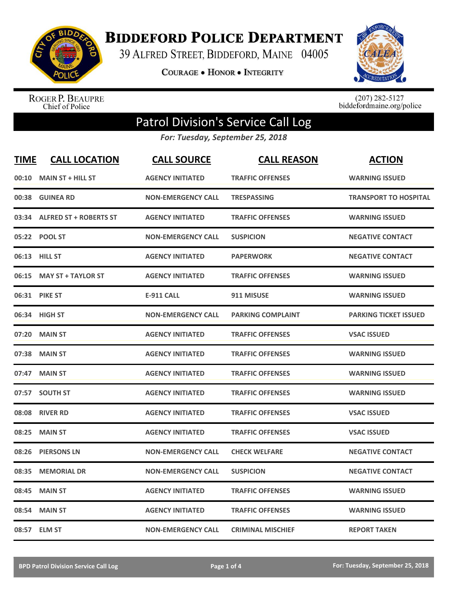

**BIDDEFORD POLICE DEPARTMENT** 

39 ALFRED STREET, BIDDEFORD, MAINE 04005

**COURAGE . HONOR . INTEGRITY** 



ROGER P. BEAUPRE<br>Chief of Police

 $(207)$  282-5127<br>biddefordmaine.org/police

## Patrol Division's Service Call Log

*For: Tuesday, September 25, 2018*

| <b>TIME</b> | <b>CALL LOCATION</b>          | <b>CALL SOURCE</b>        | <b>CALL REASON</b>       | <b>ACTION</b>                |
|-------------|-------------------------------|---------------------------|--------------------------|------------------------------|
| 00:10       | <b>MAIN ST + HILL ST</b>      | <b>AGENCY INITIATED</b>   | <b>TRAFFIC OFFENSES</b>  | <b>WARNING ISSUED</b>        |
| 00:38       | <b>GUINEA RD</b>              | <b>NON-EMERGENCY CALL</b> | <b>TRESPASSING</b>       | <b>TRANSPORT TO HOSPITAL</b> |
| 03:34       | <b>ALFRED ST + ROBERTS ST</b> | <b>AGENCY INITIATED</b>   | <b>TRAFFIC OFFENSES</b>  | <b>WARNING ISSUED</b>        |
|             | 05:22 POOL ST                 | <b>NON-EMERGENCY CALL</b> | <b>SUSPICION</b>         | <b>NEGATIVE CONTACT</b>      |
|             | 06:13 HILL ST                 | <b>AGENCY INITIATED</b>   | <b>PAPERWORK</b>         | <b>NEGATIVE CONTACT</b>      |
| 06:15       | <b>MAY ST + TAYLOR ST</b>     | <b>AGENCY INITIATED</b>   | <b>TRAFFIC OFFENSES</b>  | <b>WARNING ISSUED</b>        |
|             | 06:31 PIKE ST                 | <b>E-911 CALL</b>         | 911 MISUSE               | <b>WARNING ISSUED</b>        |
|             | 06:34 HIGH ST                 | <b>NON-EMERGENCY CALL</b> | <b>PARKING COMPLAINT</b> | <b>PARKING TICKET ISSUED</b> |
| 07:20       | <b>MAIN ST</b>                | <b>AGENCY INITIATED</b>   | <b>TRAFFIC OFFENSES</b>  | <b>VSAC ISSUED</b>           |
| 07:38       | <b>MAIN ST</b>                | <b>AGENCY INITIATED</b>   | <b>TRAFFIC OFFENSES</b>  | <b>WARNING ISSUED</b>        |
|             | 07:47 MAIN ST                 | <b>AGENCY INITIATED</b>   | <b>TRAFFIC OFFENSES</b>  | <b>WARNING ISSUED</b>        |
| 07:57       | <b>SOUTH ST</b>               | <b>AGENCY INITIATED</b>   | <b>TRAFFIC OFFENSES</b>  | <b>WARNING ISSUED</b>        |
| 08:08       | <b>RIVER RD</b>               | <b>AGENCY INITIATED</b>   | <b>TRAFFIC OFFENSES</b>  | <b>VSAC ISSUED</b>           |
| 08:25       | <b>MAIN ST</b>                | <b>AGENCY INITIATED</b>   | <b>TRAFFIC OFFENSES</b>  | <b>VSAC ISSUED</b>           |
| 08:26       | <b>PIERSONS LN</b>            | <b>NON-EMERGENCY CALL</b> | <b>CHECK WELFARE</b>     | <b>NEGATIVE CONTACT</b>      |
| 08:35       | <b>MEMORIAL DR</b>            | <b>NON-EMERGENCY CALL</b> | <b>SUSPICION</b>         | <b>NEGATIVE CONTACT</b>      |
| 08:45       | <b>MAIN ST</b>                | <b>AGENCY INITIATED</b>   | <b>TRAFFIC OFFENSES</b>  | <b>WARNING ISSUED</b>        |
| 08:54       | <b>MAIN ST</b>                | <b>AGENCY INITIATED</b>   | <b>TRAFFIC OFFENSES</b>  | <b>WARNING ISSUED</b>        |
|             | 08:57 ELM ST                  | <b>NON-EMERGENCY CALL</b> | <b>CRIMINAL MISCHIEF</b> | <b>REPORT TAKEN</b>          |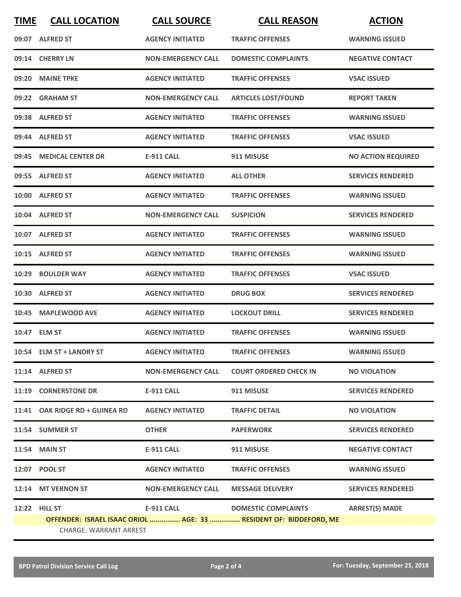| <b>TIME</b>                                                                                        | <b>CALL LOCATION</b>           | <b>CALL SOURCE</b>        | <b>CALL REASON</b>            | <b>ACTION</b>             |
|----------------------------------------------------------------------------------------------------|--------------------------------|---------------------------|-------------------------------|---------------------------|
|                                                                                                    | 09:07 ALFRED ST                | <b>AGENCY INITIATED</b>   | <b>TRAFFIC OFFENSES</b>       | <b>WARNING ISSUED</b>     |
|                                                                                                    | 09:14 CHERRY LN                | <b>NON-EMERGENCY CALL</b> | <b>DOMESTIC COMPLAINTS</b>    | <b>NEGATIVE CONTACT</b>   |
| 09:20                                                                                              | <b>MAINE TPKE</b>              | <b>AGENCY INITIATED</b>   | <b>TRAFFIC OFFENSES</b>       | <b>VSAC ISSUED</b>        |
|                                                                                                    | 09:22 GRAHAM ST                | <b>NON-EMERGENCY CALL</b> | <b>ARTICLES LOST/FOUND</b>    | <b>REPORT TAKEN</b>       |
|                                                                                                    | 09:38 ALFRED ST                | <b>AGENCY INITIATED</b>   | <b>TRAFFIC OFFENSES</b>       | <b>WARNING ISSUED</b>     |
|                                                                                                    | 09:44 ALFRED ST                | <b>AGENCY INITIATED</b>   | <b>TRAFFIC OFFENSES</b>       | <b>VSAC ISSUED</b>        |
|                                                                                                    | 09:45 MEDICAL CENTER DR        | <b>E-911 CALL</b>         | 911 MISUSE                    | <b>NO ACTION REQUIRED</b> |
|                                                                                                    | 09:55 ALFRED ST                | <b>AGENCY INITIATED</b>   | <b>ALL OTHER</b>              | <b>SERVICES RENDERED</b>  |
|                                                                                                    | 10:00 ALFRED ST                | <b>AGENCY INITIATED</b>   | <b>TRAFFIC OFFENSES</b>       | <b>WARNING ISSUED</b>     |
|                                                                                                    | 10:04 ALFRED ST                | <b>NON-EMERGENCY CALL</b> | <b>SUSPICION</b>              | <b>SERVICES RENDERED</b>  |
|                                                                                                    | 10:07 ALFRED ST                | <b>AGENCY INITIATED</b>   | <b>TRAFFIC OFFENSES</b>       | <b>WARNING ISSUED</b>     |
|                                                                                                    | 10:15 ALFRED ST                | <b>AGENCY INITIATED</b>   | <b>TRAFFIC OFFENSES</b>       | <b>WARNING ISSUED</b>     |
|                                                                                                    | 10:29 BOULDER WAY              | <b>AGENCY INITIATED</b>   | <b>TRAFFIC OFFENSES</b>       | <b>VSAC ISSUED</b>        |
|                                                                                                    | 10:30 ALFRED ST                | <b>AGENCY INITIATED</b>   | <b>DRUG BOX</b>               | <b>SERVICES RENDERED</b>  |
|                                                                                                    | 10:45 MAPLEWOOD AVE            | <b>AGENCY INITIATED</b>   | <b>LOCKOUT DRILL</b>          | <b>SERVICES RENDERED</b>  |
|                                                                                                    | 10:47 ELM ST                   | <b>AGENCY INITIATED</b>   | <b>TRAFFIC OFFENSES</b>       | <b>WARNING ISSUED</b>     |
|                                                                                                    | 10:54 ELM ST + LANDRY ST       | <b>AGENCY INITIATED</b>   | <b>TRAFFIC OFFENSES</b>       | <b>WARNING ISSUED</b>     |
|                                                                                                    | 11:14 ALFRED ST                | <b>NON-EMERGENCY CALL</b> | <b>COURT ORDERED CHECK IN</b> | <b>NO VIOLATION</b>       |
|                                                                                                    | 11:19 CORNERSTONE DR           | E-911 CALL                | 911 MISUSE                    | <b>SERVICES RENDERED</b>  |
|                                                                                                    | 11:41 OAK RIDGE RD + GUINEA RD | <b>AGENCY INITIATED</b>   | <b>TRAFFIC DETAIL</b>         | <b>NO VIOLATION</b>       |
|                                                                                                    | 11:54 SUMMER ST                | <b>OTHER</b>              | <b>PAPERWORK</b>              | <b>SERVICES RENDERED</b>  |
|                                                                                                    | <b>11:54 MAIN ST</b>           | <b>E-911 CALL</b>         | 911 MISUSE                    | <b>NEGATIVE CONTACT</b>   |
|                                                                                                    | 12:07 POOL ST                  | <b>AGENCY INITIATED</b>   | <b>TRAFFIC OFFENSES</b>       | <b>WARNING ISSUED</b>     |
|                                                                                                    | 12:14 MT VERNON ST             | <b>NON-EMERGENCY CALL</b> | <b>MESSAGE DELIVERY</b>       | <b>SERVICES RENDERED</b>  |
|                                                                                                    | 12:22 HILL ST                  | E-911 CALL                | <b>DOMESTIC COMPLAINTS</b>    | <b>ARREST(S) MADE</b>     |
| OFFENDER: ISRAEL ISAAC ORIOL  AGE: 33  RESIDENT OF: BIDDEFORD, ME<br><b>CHARGE: WARRANT ARREST</b> |                                |                           |                               |                           |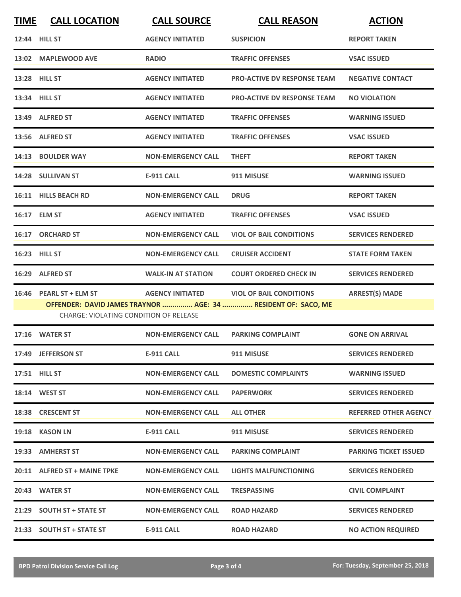| <b>TIME</b> | <b>CALL LOCATION</b>                   | <b>CALL SOURCE</b>        | <b>CALL REASON</b>                                            | <b>ACTION</b>                |
|-------------|----------------------------------------|---------------------------|---------------------------------------------------------------|------------------------------|
|             | 12:44 HILL ST                          | <b>AGENCY INITIATED</b>   | <b>SUSPICION</b>                                              | <b>REPORT TAKEN</b>          |
|             | 13:02 MAPLEWOOD AVE                    | <b>RADIO</b>              | <b>TRAFFIC OFFENSES</b>                                       | <b>VSAC ISSUED</b>           |
|             | 13:28 HILL ST                          | <b>AGENCY INITIATED</b>   | <b>PRO-ACTIVE DV RESPONSE TEAM</b>                            | <b>NEGATIVE CONTACT</b>      |
|             | 13:34 HILL ST                          | <b>AGENCY INITIATED</b>   | <b>PRO-ACTIVE DV RESPONSE TEAM</b>                            | <b>NO VIOLATION</b>          |
|             | 13:49 ALFRED ST                        | <b>AGENCY INITIATED</b>   | <b>TRAFFIC OFFENSES</b>                                       | <b>WARNING ISSUED</b>        |
|             | 13:56 ALFRED ST                        | <b>AGENCY INITIATED</b>   | <b>TRAFFIC OFFENSES</b>                                       | <b>VSAC ISSUED</b>           |
|             | 14:13 BOULDER WAY                      | <b>NON-EMERGENCY CALL</b> | <b>THEFT</b>                                                  | <b>REPORT TAKEN</b>          |
|             | 14:28 SULLIVAN ST                      | <b>E-911 CALL</b>         | 911 MISUSE                                                    | <b>WARNING ISSUED</b>        |
|             | 16:11 HILLS BEACH RD                   | <b>NON-EMERGENCY CALL</b> | <b>DRUG</b>                                                   | <b>REPORT TAKEN</b>          |
|             | 16:17 ELM ST                           | <b>AGENCY INITIATED</b>   | <b>TRAFFIC OFFENSES</b>                                       | <b>VSAC ISSUED</b>           |
|             | 16:17 ORCHARD ST                       | <b>NON-EMERGENCY CALL</b> | <b>VIOL OF BAIL CONDITIONS</b>                                | <b>SERVICES RENDERED</b>     |
|             | 16:23 HILL ST                          | <b>NON-EMERGENCY CALL</b> | <b>CRUISER ACCIDENT</b>                                       | <b>STATE FORM TAKEN</b>      |
|             | 16:29 ALFRED ST                        | <b>WALK-IN AT STATION</b> | <b>COURT ORDERED CHECK IN</b>                                 | <b>SERVICES RENDERED</b>     |
|             | 16:46 PEARL ST + ELM ST                | <b>AGENCY INITIATED</b>   | <b>VIOL OF BAIL CONDITIONS</b>                                | <b>ARREST(S) MADE</b>        |
|             | CHARGE: VIOLATING CONDITION OF RELEASE |                           | OFFENDER: DAVID JAMES TRAYNOR  AGE: 34  RESIDENT OF: SACO, ME |                              |
|             | 17:16 WATER ST                         | <b>NON-EMERGENCY CALL</b> | <b>PARKING COMPLAINT</b>                                      | <b>GONE ON ARRIVAL</b>       |
|             | 17:49 JEFFERSON ST                     | <b>E-911 CALL</b>         | 911 MISUSE                                                    | <b>SERVICES RENDERED</b>     |
|             | 17:51 HILL ST                          | <b>NON-EMERGENCY CALL</b> | <b>DOMESTIC COMPLAINTS</b>                                    | <b>WARNING ISSUED</b>        |
|             | 18:14 WEST ST                          | <b>NON-EMERGENCY CALL</b> | <b>PAPERWORK</b>                                              | <b>SERVICES RENDERED</b>     |
|             | 18:38 CRESCENT ST                      | <b>NON-EMERGENCY CALL</b> | <b>ALL OTHER</b>                                              | <b>REFERRED OTHER AGENCY</b> |
|             | 19:18 KASON LN                         | <b>E-911 CALL</b>         | 911 MISUSE                                                    | <b>SERVICES RENDERED</b>     |
|             | 19:33 AMHERST ST                       | <b>NON-EMERGENCY CALL</b> | <b>PARKING COMPLAINT</b>                                      | <b>PARKING TICKET ISSUED</b> |
|             | 20:11 ALFRED ST + MAINE TPKE           | <b>NON-EMERGENCY CALL</b> | LIGHTS MALFUNCTIONING                                         | <b>SERVICES RENDERED</b>     |
|             | 20:43 WATER ST                         | <b>NON-EMERGENCY CALL</b> | <b>TRESPASSING</b>                                            | <b>CIVIL COMPLAINT</b>       |
|             | 21:29 SOUTH ST + STATE ST              | <b>NON-EMERGENCY CALL</b> | <b>ROAD HAZARD</b>                                            | <b>SERVICES RENDERED</b>     |
|             | 21:33 SOUTH ST + STATE ST              | <b>E-911 CALL</b>         | <b>ROAD HAZARD</b>                                            | <b>NO ACTION REQUIRED</b>    |